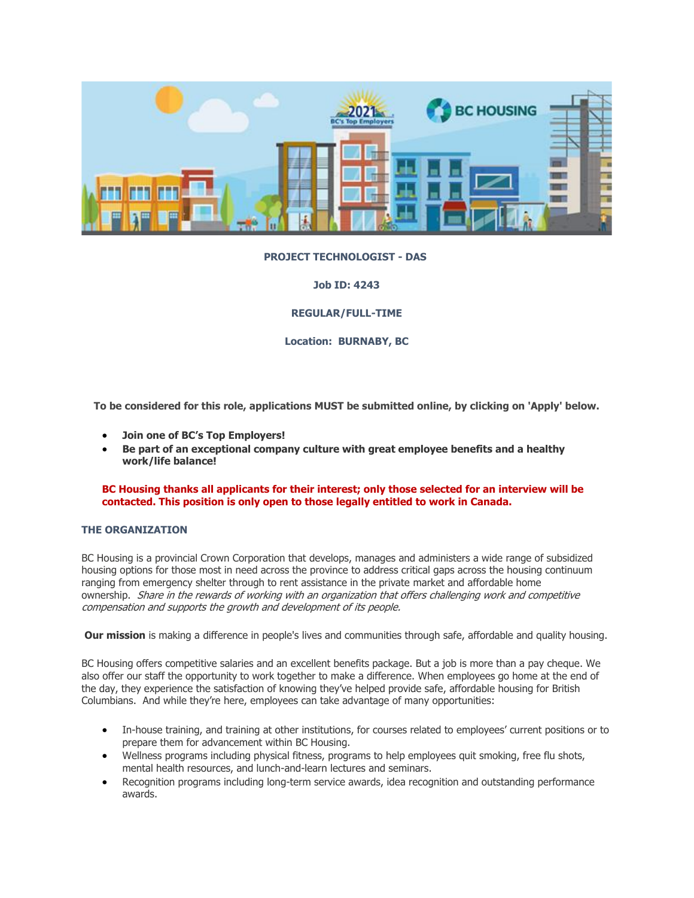

# **PROJECT TECHNOLOGIST - DAS**

**Job ID: 4243**

**REGULAR/FULL-TIME**

**Location: BURNABY, BC**

**To be considered for this role, applications MUST be submitted online, by clicking on 'Apply' below.**

- **Join one of BC's Top Employers!**
- **Be part of an exceptional company culture with great employee benefits and a healthy work/life balance!**

**BC Housing thanks all applicants for their interest; only those selected for an interview will be contacted. This position is only open to those legally entitled to work in Canada.**

# **THE ORGANIZATION**

BC Housing is a provincial Crown Corporation that develops, manages and administers a wide range of subsidized housing options for those most in need across the province to address critical gaps across the housing continuum ranging from emergency shelter through to rent assistance in the private market and affordable home ownership. Share in the rewards of working with an organization that offers challenging work and competitive compensation and supports the growth and development of its people.

**Our mission** is making a difference in people's lives and communities through safe, affordable and quality housing.

BC Housing offers competitive salaries and an excellent benefits package. But a job is more than a pay cheque. We also offer our staff the opportunity to work together to make a difference. When employees go home at the end of the day, they experience the satisfaction of knowing they've helped provide safe, affordable housing for British Columbians. And while they're here, employees can take advantage of many opportunities:

- In-house training, and training at other institutions, for courses related to employees' current positions or to prepare them for advancement within BC Housing.
- Wellness programs including physical fitness, programs to help employees quit smoking, free flu shots, mental health resources, and lunch-and-learn lectures and seminars.
- Recognition programs including long-term service awards, idea recognition and outstanding performance awards.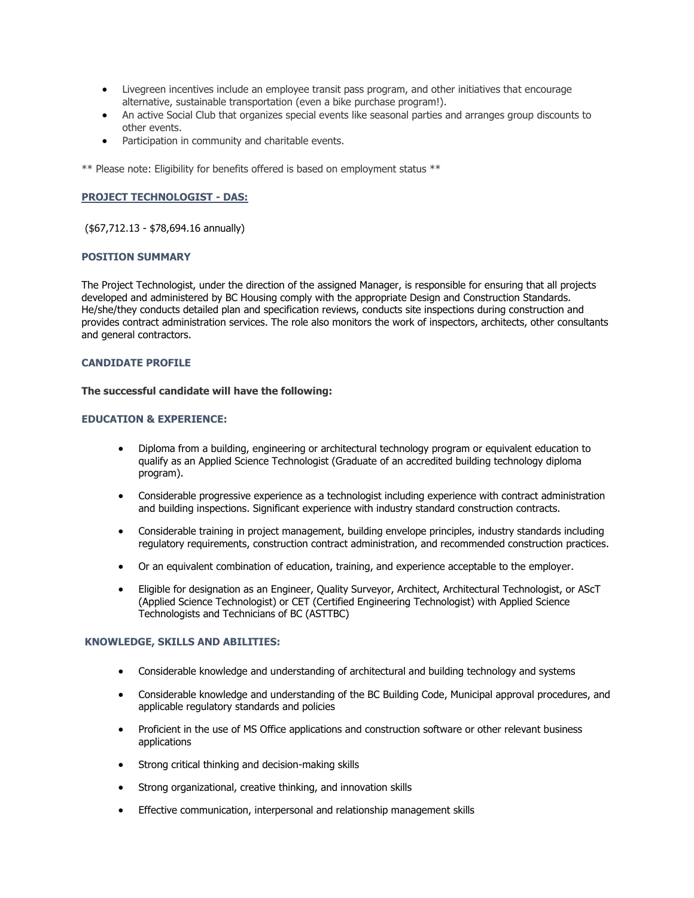- Livegreen incentives include an employee transit pass program, and other initiatives that encourage alternative, sustainable transportation (even a bike purchase program!).
- An active Social Club that organizes special events like seasonal parties and arranges group discounts to other events.
- Participation in community and charitable events.

\*\* Please note: Eligibility for benefits offered is based on employment status \*\*

# **PROJECT TECHNOLOGIST - DAS:**

(\$67,712.13 - \$78,694.16 annually)

#### **POSITION SUMMARY**

The Project Technologist, under the direction of the assigned Manager, is responsible for ensuring that all projects developed and administered by BC Housing comply with the appropriate Design and Construction Standards. He/she/they conducts detailed plan and specification reviews, conducts site inspections during construction and provides contract administration services. The role also monitors the work of inspectors, architects, other consultants and general contractors.

# **CANDIDATE PROFILE**

#### **The successful candidate will have the following:**

## **EDUCATION & EXPERIENCE:**

- Diploma from a building, engineering or architectural technology program or equivalent education to qualify as an Applied Science Technologist (Graduate of an accredited building technology diploma program).
- Considerable progressive experience as a technologist including experience with contract administration and building inspections. Significant experience with industry standard construction contracts.
- Considerable training in project management, building envelope principles, industry standards including regulatory requirements, construction contract administration, and recommended construction practices.
- Or an equivalent combination of education, training, and experience acceptable to the employer.
- Eligible for designation as an Engineer, Quality Surveyor, Architect, Architectural Technologist, or AScT (Applied Science Technologist) or CET (Certified Engineering Technologist) with Applied Science Technologists and Technicians of BC (ASTTBC)

### **KNOWLEDGE, SKILLS AND ABILITIES:**

- Considerable knowledge and understanding of architectural and building technology and systems
- Considerable knowledge and understanding of the BC Building Code, Municipal approval procedures, and applicable regulatory standards and policies
- Proficient in the use of MS Office applications and construction software or other relevant business applications
- Strong critical thinking and decision-making skills
- Strong organizational, creative thinking, and innovation skills
- Effective communication, interpersonal and relationship management skills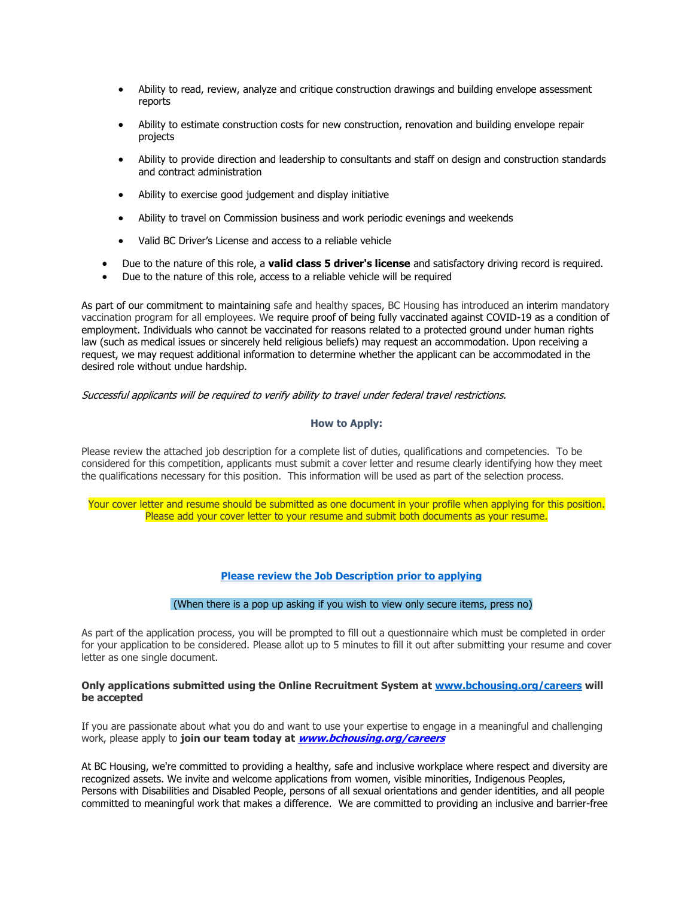- Ability to read, review, analyze and critique construction drawings and building envelope assessment reports
- Ability to estimate construction costs for new construction, renovation and building envelope repair projects
- Ability to provide direction and leadership to consultants and staff on design and construction standards and contract administration
- Ability to exercise good judgement and display initiative
- Ability to travel on Commission business and work periodic evenings and weekends
- Valid BC Driver's License and access to a reliable vehicle
- Due to the nature of this role, a **valid class 5 driver's license** and satisfactory driving record is required.
- Due to the nature of this role, access to a reliable vehicle will be required

As part of our commitment to maintaining safe and healthy spaces, BC Housing has introduced an interim mandatory vaccination program for all employees. We require proof of being fully vaccinated against COVID-19 as a condition of employment. Individuals who cannot be vaccinated for reasons related to a protected ground under human rights law (such as medical issues or sincerely held religious beliefs) may request an accommodation. Upon receiving a request, we may request additional information to determine whether the applicant can be accommodated in the desired role without undue hardship.

Successful applicants will be required to verify ability to travel under federal travel restrictions.

# **How to Apply:**

Please review the attached job description for a complete list of duties, qualifications and competencies. To be considered for this competition, applicants must submit a cover letter and resume clearly identifying how they meet the qualifications necessary for this position. This information will be used as part of the selection process.

Your cover letter and resume should be submitted as one document in your profile when applying for this position. Please add your cover letter to your resume and submit both documents as your resume.

# **[Please review the Job Description prior to applying](https://www.bchousing.org/publications/JD-Project-Technologist_(DAS)-AO4-Dec-2021.pdf)**

#### (When there is a pop up asking if you wish to view only secure items, press no)

As part of the application process, you will be prompted to fill out a questionnaire which must be completed in order for your application to be considered. Please allot up to 5 minutes to fill it out after submitting your resume and cover letter as one single document.

#### **Only applications submitted using the Online Recruitment System at [www.bchousing.org/careers](http://www.bchousing.org/careers) will be accepted**

If you are passionate about what you do and want to use your expertise to engage in a meaningful and challenging work, please apply to **join our team today at [www.bchousing.org/careers](http://www.bchousing.org/careers)**

At BC Housing, we're committed to providing a healthy, safe and inclusive workplace where respect and diversity are recognized assets. We invite and welcome applications from women, visible minorities, Indigenous Peoples, Persons with Disabilities and Disabled People, persons of all sexual orientations and gender identities, and all people committed to meaningful work that makes a difference. We are committed to providing an inclusive and barrier-free